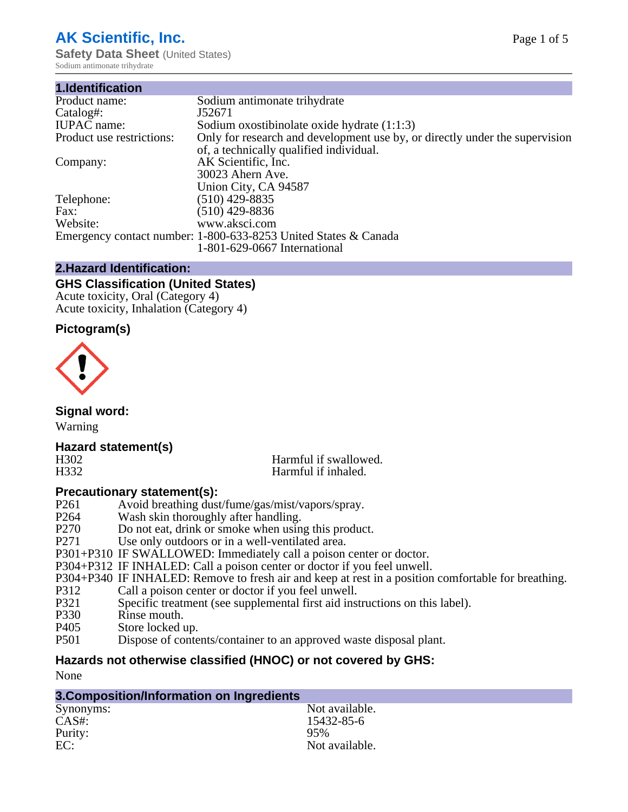# **AK Scientific, Inc.**

**Safety Data Sheet** (United States) Sodium antimonate trihydrate

| Sodium antimonate trihydrate                                                |
|-----------------------------------------------------------------------------|
| J52671                                                                      |
| Sodium oxostibinolate oxide hydrate $(1:1:3)$                               |
| Only for research and development use by, or directly under the supervision |
| of, a technically qualified individual.                                     |
| AK Scientific, Inc.                                                         |
| 30023 Ahern Ave.                                                            |
| Union City, CA 94587                                                        |
| $(510)$ 429-8835                                                            |
| $(510)$ 429-8836                                                            |
| www.aksci.com                                                               |
| Emergency contact number: 1-800-633-8253 United States & Canada             |
| 1-801-629-0667 International                                                |
|                                                                             |

## **2.Hazard Identification:**

### **GHS Classification (United States)**

Acute toxicity, Oral (Category 4) Acute toxicity, Inhalation (Category 4)

## **Pictogram(s)**



**Signal word:**

# Warning

## **Hazard statement(s)**

H302 Harmful if swallowed.<br>
Harmful if inhaled. Harmful if inhaled.

## **Precautionary statement(s):**

- P261 Avoid breathing dust/fume/gas/mist/vapors/spray.
- P264 Wash skin thoroughly after handling.<br>P270 Do not eat, drink or smoke when usin
- P270 Do not eat, drink or smoke when using this product.<br>P271 Use only outdoors or in a well-ventilated area.
- Use only outdoors or in a well-ventilated area.
- P301+P310 IF SWALLOWED: Immediately call a poison center or doctor.
- P304+P312 IF INHALED: Call a poison center or doctor if you feel unwell.
- P304+P340 IF INHALED: Remove to fresh air and keep at rest in a position comfortable for breathing.
- P312 Call a poison center or doctor if you feel unwell.<br>P321 Specific treatment (see supplemental first aid inst
- P321 Specific treatment (see supplemental first aid instructions on this label).<br>P330 Rinse mouth.
- P330 Rinse mouth.<br>P405 Store locked
- Store locked up.
- P501 Dispose of contents/container to an approved waste disposal plant.

## **Hazards not otherwise classified (HNOC) or not covered by GHS:**

None

| 3. Composition/Information on Ingredients |                |  |
|-------------------------------------------|----------------|--|
| Synonyms:                                 | Not available. |  |
| CAS#:                                     | 15432-85-6     |  |
| Purity:                                   | 95%            |  |
| EC:                                       | Not available. |  |
|                                           |                |  |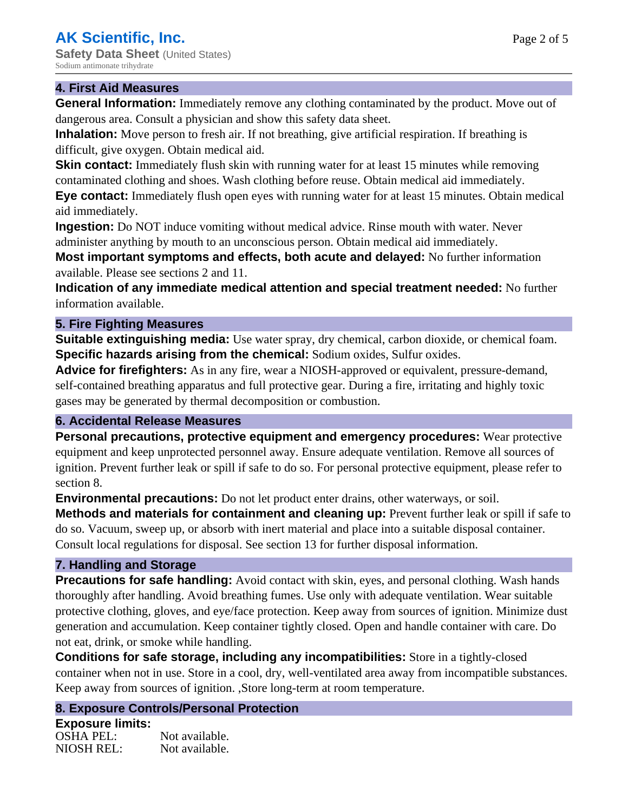#### **4. First Aid Measures**

**General Information:** Immediately remove any clothing contaminated by the product. Move out of dangerous area. Consult a physician and show this safety data sheet.

**Inhalation:** Move person to fresh air. If not breathing, give artificial respiration. If breathing is difficult, give oxygen. Obtain medical aid.

**Skin contact:** Immediately flush skin with running water for at least 15 minutes while removing contaminated clothing and shoes. Wash clothing before reuse. Obtain medical aid immediately.

**Eye contact:** Immediately flush open eyes with running water for at least 15 minutes. Obtain medical aid immediately.

**Ingestion:** Do NOT induce vomiting without medical advice. Rinse mouth with water. Never administer anything by mouth to an unconscious person. Obtain medical aid immediately.

**Most important symptoms and effects, both acute and delayed:** No further information available. Please see sections 2 and 11.

**Indication of any immediate medical attention and special treatment needed:** No further information available.

#### **5. Fire Fighting Measures**

**Suitable extinguishing media:** Use water spray, dry chemical, carbon dioxide, or chemical foam. **Specific hazards arising from the chemical:** Sodium oxides, Sulfur oxides.

**Advice for firefighters:** As in any fire, wear a NIOSH-approved or equivalent, pressure-demand, self-contained breathing apparatus and full protective gear. During a fire, irritating and highly toxic gases may be generated by thermal decomposition or combustion.

#### **6. Accidental Release Measures**

**Personal precautions, protective equipment and emergency procedures:** Wear protective equipment and keep unprotected personnel away. Ensure adequate ventilation. Remove all sources of ignition. Prevent further leak or spill if safe to do so. For personal protective equipment, please refer to section 8.

**Environmental precautions:** Do not let product enter drains, other waterways, or soil.

**Methods and materials for containment and cleaning up:** Prevent further leak or spill if safe to do so. Vacuum, sweep up, or absorb with inert material and place into a suitable disposal container. Consult local regulations for disposal. See section 13 for further disposal information.

#### **7. Handling and Storage**

**Precautions for safe handling:** Avoid contact with skin, eyes, and personal clothing. Wash hands thoroughly after handling. Avoid breathing fumes. Use only with adequate ventilation. Wear suitable protective clothing, gloves, and eye/face protection. Keep away from sources of ignition. Minimize dust generation and accumulation. Keep container tightly closed. Open and handle container with care. Do not eat, drink, or smoke while handling.

**Conditions for safe storage, including any incompatibilities:** Store in a tightly-closed container when not in use. Store in a cool, dry, well-ventilated area away from incompatible substances. Keep away from sources of ignition. ,Store long-term at room temperature.

#### **8. Exposure Controls/Personal Protection**

**Exposure limits:** OSHA PEL: Not available. NIOSH REL: Not available.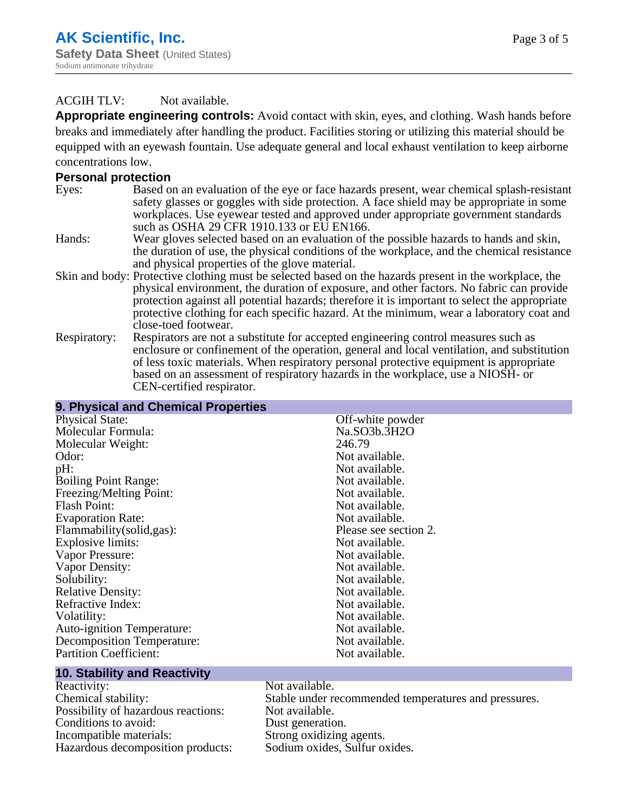## ACGIH TLV: Not available.

**Appropriate engineering controls:** Avoid contact with skin, eyes, and clothing. Wash hands before breaks and immediately after handling the product. Facilities storing or utilizing this material should be equipped with an eyewash fountain. Use adequate general and local exhaust ventilation to keep airborne concentrations low.

### **Personal protection**

- Eyes: Based on an evaluation of the eye or face hazards present, wear chemical splash-resistant safety glasses or goggles with side protection. A face shield may be appropriate in some workplaces. Use eyewear tested and approved under appropriate government standards such as OSHA 29 CFR 1910.133 or EU EN166.
- Hands: Wear gloves selected based on an evaluation of the possible hazards to hands and skin, the duration of use, the physical conditions of the workplace, and the chemical resistance and physical properties of the glove material.
- Skin and body: Protective clothing must be selected based on the hazards present in the workplace, the physical environment, the duration of exposure, and other factors. No fabric can provide protection against all potential hazards; therefore it is important to select the appropriate protective clothing for each specific hazard. At the minimum, wear a laboratory coat and close-toed footwear.
- Respiratory: Respirators are not a substitute for accepted engineering control measures such as enclosure or confinement of the operation, general and local ventilation, and substitution of less toxic materials. When respiratory personal protective equipment is appropriate based on an assessment of respiratory hazards in the workplace, use a NIOSH- or CEN-certified respirator.

| 9. Physical and Chemical Properties                                                        |                       |  |
|--------------------------------------------------------------------------------------------|-----------------------|--|
| <b>Physical State:</b>                                                                     | Off-white powder      |  |
| Molecular Formula:                                                                         | Na.SO3b.3H2O          |  |
| Molecular Weight:                                                                          | 246.79                |  |
| Odor:                                                                                      | Not available.        |  |
| pH:                                                                                        | Not available.        |  |
| <b>Boiling Point Range:</b>                                                                | Not available.        |  |
| Freezing/Melting Point:                                                                    | Not available.        |  |
| <b>Flash Point:</b>                                                                        | Not available.        |  |
| <b>Evaporation Rate:</b>                                                                   | Not available.        |  |
| Flammability(solid,gas):                                                                   | Please see section 2. |  |
| Explosive limits:                                                                          | Not available.        |  |
| Vapor Pressure:                                                                            | Not available.        |  |
| Vapor Density:                                                                             | Not available.        |  |
| Solubility:                                                                                | Not available.        |  |
| <b>Relative Density:</b>                                                                   | Not available.        |  |
| Refractive Index:                                                                          | Not available.        |  |
| Volatility:                                                                                | Not available.        |  |
| <b>Auto-ignition Temperature:</b>                                                          | Not available.        |  |
| Decomposition Temperature:                                                                 | Not available.        |  |
| <b>Partition Coefficient:</b>                                                              | Not available.        |  |
| $\overline{a}$ and $\overline{a}$ and $\overline{a}$ and $\overline{a}$<br><b>ALC: YES</b> |                       |  |

#### **10. Stability and Reactivity** Reactivity: Not available.<br>Chemical stability: Stable under re Stable under recommended temperatures and pressures.<br>Not available. Possibility of hazardous reactions: Conditions to avoid:<br>
Incompatible materials:<br>
Strong oxidizing Strong oxidizing agents. Hazardous decomposition products: Sodium oxides, Sulfur oxides.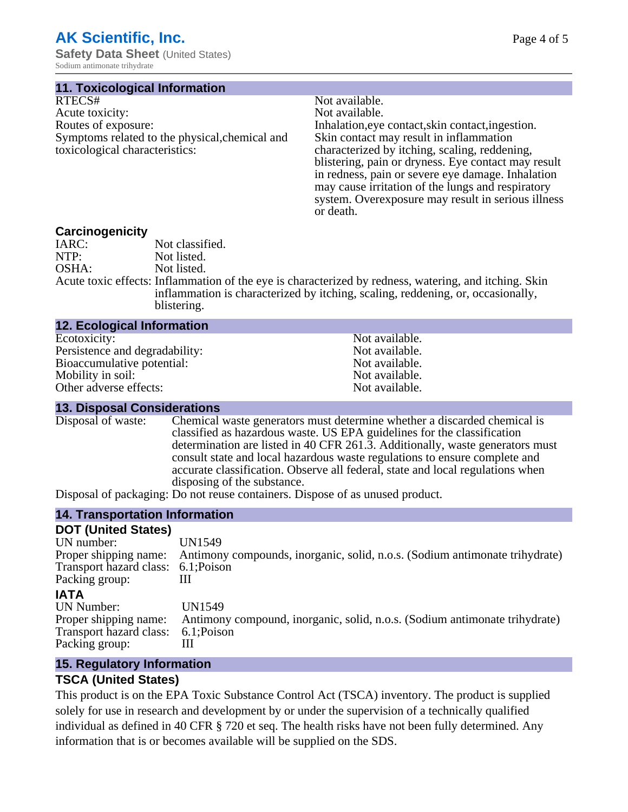Sodium antimonate trihydrate

**11. Toxicological Information**

| RTECS#                                         |
|------------------------------------------------|
| Acute toxicity:                                |
| Routes of exposure:                            |
| Symptoms related to the physical, chemical and |
| toxicological characteristics:                 |

Not available. Not available. Inhalation,eye contact, skin contact, ingestion. Skin contact may result in inflammation characterized by itching, scaling, reddening, blistering, pain or dryness. Eye contact may result in redness, pain or severe eye damage. Inhalation may cause irritation of the lungs and respiratory system. Overexposure may result in serious illness or death.

### **Carcinogenicity**

| IARC: | Not classified.                                                                                       |
|-------|-------------------------------------------------------------------------------------------------------|
| NTP:  | Not listed.                                                                                           |
| OSHA: | Not listed.                                                                                           |
|       | Acute toxic effects: Inflammation of the eye is characterized by redness, watering, and itching. Skin |
|       | inflammation is characterized by itching, scaling, reddening, or, occasionally,                       |
|       | blistering.                                                                                           |
|       |                                                                                                       |

| <b>12. Ecological Information</b> |                |
|-----------------------------------|----------------|
| Ecotoxicity:                      | Not available. |
| Persistence and degradability:    | Not available. |
| Bioaccumulative potential:        | Not available. |
| Mobility in soil:                 | Not available. |
| Other adverse effects:            | Not available. |

#### **13. Disposal Considerations**

Disposal of waste: Chemical waste generators must determine whether a discarded chemical is classified as hazardous waste. US EPA guidelines for the classification determination are listed in 40 CFR 261.3. Additionally, waste generators must consult state and local hazardous waste regulations to ensure complete and accurate classification. Observe all federal, state and local regulations when disposing of the substance.

Disposal of packaging: Do not reuse containers. Dispose of as unused product.

## **14. Transportation Information**

| <b>DOT (United States)</b>          |                                                                                                   |
|-------------------------------------|---------------------------------------------------------------------------------------------------|
| UN number:                          | UN1549                                                                                            |
|                                     | Proper shipping name: Antimony compounds, inorganic, solid, n.o.s. (Sodium antimonate trihydrate) |
| Transport hazard class: 6.1; Poison |                                                                                                   |
| Packing group:                      |                                                                                                   |
| <b>IATA</b>                         |                                                                                                   |
| <b>UN Number:</b>                   | UN1549                                                                                            |
| Proper shipping name:               | Antimony compound, inorganic, solid, n.o.s. (Sodium antimonate trihydrate)                        |
| Transport hazard class:             | 6.1;Poison                                                                                        |
| Packing group:                      | Ш                                                                                                 |
|                                     |                                                                                                   |

## **15. Regulatory Information**

## **TSCA (United States)**

This product is on the EPA Toxic Substance Control Act (TSCA) inventory. The product is supplied solely for use in research and development by or under the supervision of a technically qualified individual as defined in 40 CFR § 720 et seq. The health risks have not been fully determined. Any information that is or becomes available will be supplied on the SDS.